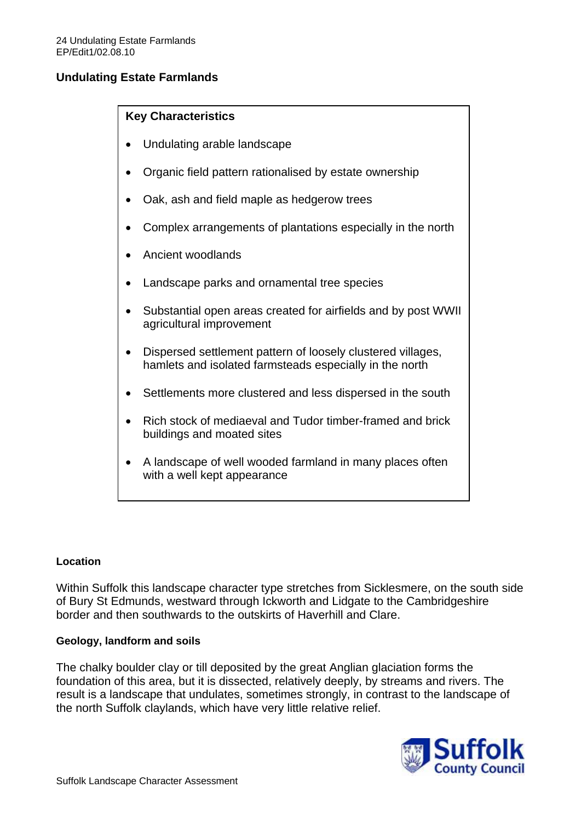# **Undulating Estate Farmlands**

# **Key Characteristics**

- Undulating arable landscape
- Organic field pattern rationalised by estate ownership
- Oak, ash and field maple as hedgerow trees
- Complex arrangements of plantations especially in the north
- Ancient woodlands
- Landscape parks and ornamental tree species
- Substantial open areas created for airfields and by post WWII agricultural improvement
- Dispersed settlement pattern of loosely clustered villages, hamlets and isolated farmsteads especially in the north
- Settlements more clustered and less dispersed in the south
- Rich stock of mediaeval and Tudor timber-framed and brick buildings and moated sites
- A landscape of well wooded farmland in many places often with a well kept appearance

### **Location**

Within Suffolk this landscape character type stretches from Sicklesmere, on the south side of Bury St Edmunds, westward through Ickworth and Lidgate to the Cambridgeshire border and then southwards to the outskirts of Haverhill and Clare.

### **Geology, landform and soils**

The chalky boulder clay or till deposited by the great Anglian glaciation forms the foundation of this area, but it is dissected, relatively deeply, by streams and rivers. The result is a landscape that undulates, sometimes strongly, in contrast to the landscape of the north Suffolk claylands, which have very little relative relief.

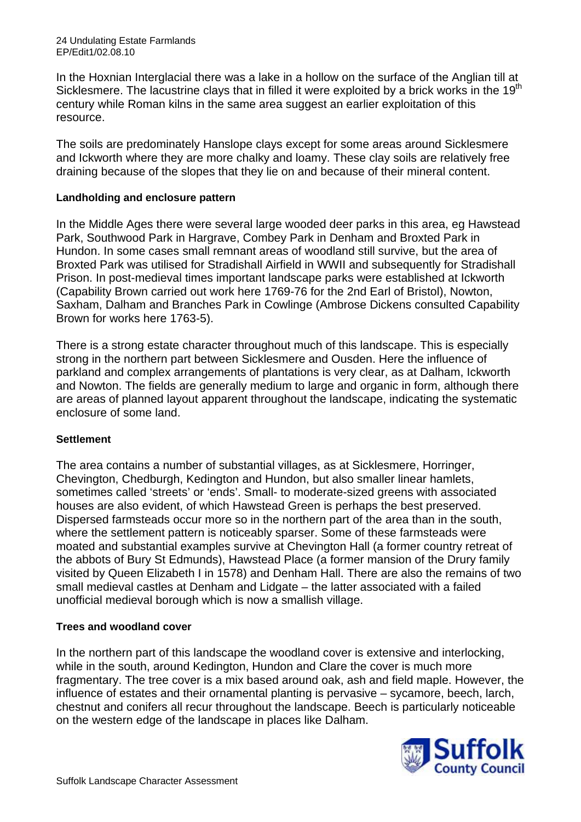In the Hoxnian Interglacial there was a lake in a hollow on the surface of the Anglian till at Sicklesmere. The lacustrine clays that in filled it were exploited by a brick works in the  $19<sup>th</sup>$ century while Roman kilns in the same area suggest an earlier exploitation of this resource.

The soils are predominately Hanslope clays except for some areas around Sicklesmere and Ickworth where they are more chalky and loamy. These clay soils are relatively free draining because of the slopes that they lie on and because of their mineral content.

## **Landholding and enclosure pattern**

In the Middle Ages there were several large wooded deer parks in this area, eg Hawstead Park, Southwood Park in Hargrave, Combey Park in Denham and Broxted Park in Hundon. In some cases small remnant areas of woodland still survive, but the area of Broxted Park was utilised for Stradishall Airfield in WWII and subsequently for Stradishall Prison. In post-medieval times important landscape parks were established at Ickworth (Capability Brown carried out work here 1769-76 for the 2nd Earl of Bristol), Nowton, Saxham, Dalham and Branches Park in Cowlinge (Ambrose Dickens consulted Capability Brown for works here 1763-5).

There is a strong estate character throughout much of this landscape. This is especially strong in the northern part between Sicklesmere and Ousden. Here the influence of parkland and complex arrangements of plantations is very clear, as at Dalham, Ickworth and Nowton. The fields are generally medium to large and organic in form, although there are areas of planned layout apparent throughout the landscape, indicating the systematic enclosure of some land.

## **Settlement**

The area contains a number of substantial villages, as at Sicklesmere, Horringer, Chevington, Chedburgh, Kedington and Hundon, but also smaller linear hamlets, sometimes called 'streets' or 'ends'. Small- to moderate-sized greens with associated houses are also evident, of which Hawstead Green is perhaps the best preserved. Dispersed farmsteads occur more so in the northern part of the area than in the south, where the settlement pattern is noticeably sparser. Some of these farmsteads were moated and substantial examples survive at Chevington Hall (a former country retreat of the abbots of Bury St Edmunds), Hawstead Place (a former mansion of the Drury family visited by Queen Elizabeth I in 1578) and Denham Hall. There are also the remains of two small medieval castles at Denham and Lidgate – the latter associated with a failed unofficial medieval borough which is now a smallish village.

### **Trees and woodland cover**

In the northern part of this landscape the woodland cover is extensive and interlocking, while in the south, around Kedington, Hundon and Clare the cover is much more fragmentary. The tree cover is a mix based around oak, ash and field maple. However, the influence of estates and their ornamental planting is pervasive – sycamore, beech, larch, chestnut and conifers all recur throughout the landscape. Beech is particularly noticeable on the western edge of the landscape in places like Dalham.